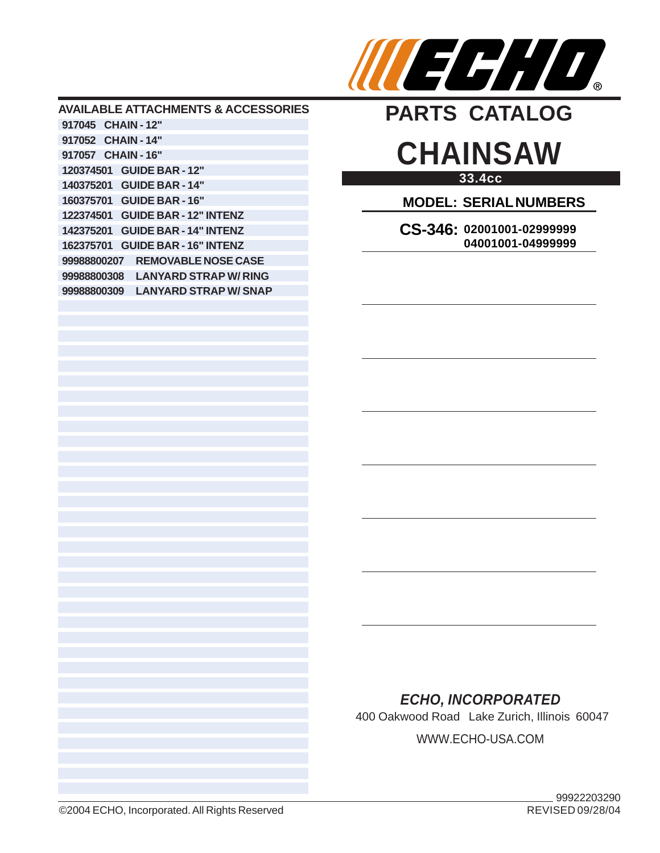

### **AVAILABLE ATTACHMENTS & ACCESSORIES 917045 CHAIN - 12" 917052 CHAIN - 14" 917057 CHAIN - 16" 120374501 GUIDE BAR - 12" 140375201 GUIDE BAR - 14" 160375701 GUIDE BAR - 16" 122374501 GUIDE BAR - 12" INTENZ 142375201 GUIDE BAR - 14" INTENZ 162375701 GUIDE BAR - 16" INTENZ 99988800207 REMOVABLE NOSE CASE 99988800308 LANYARD STRAP W/ RING 99988800309 LANYARD STRAP W/ SNAP**



# **33.4cc CHAINSAW**

**MODEL: SERIAL NUMBERS**

**CS-346: 02001001-02999999 04001001-04999999**

# *ECHO, INCORPORATED*

400 Oakwood Road Lake Zurich, Illinois 60047 WWW.ECHO-USA.COM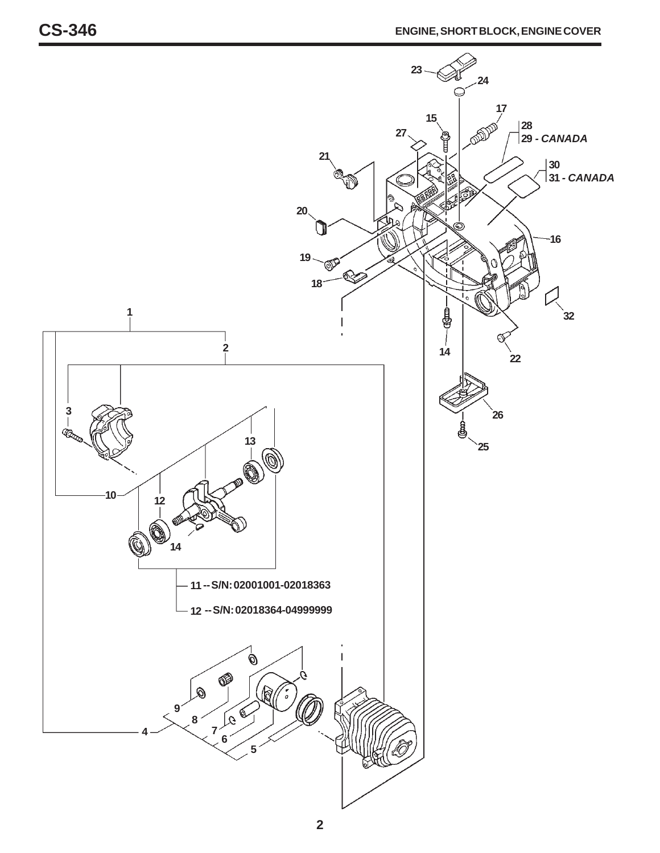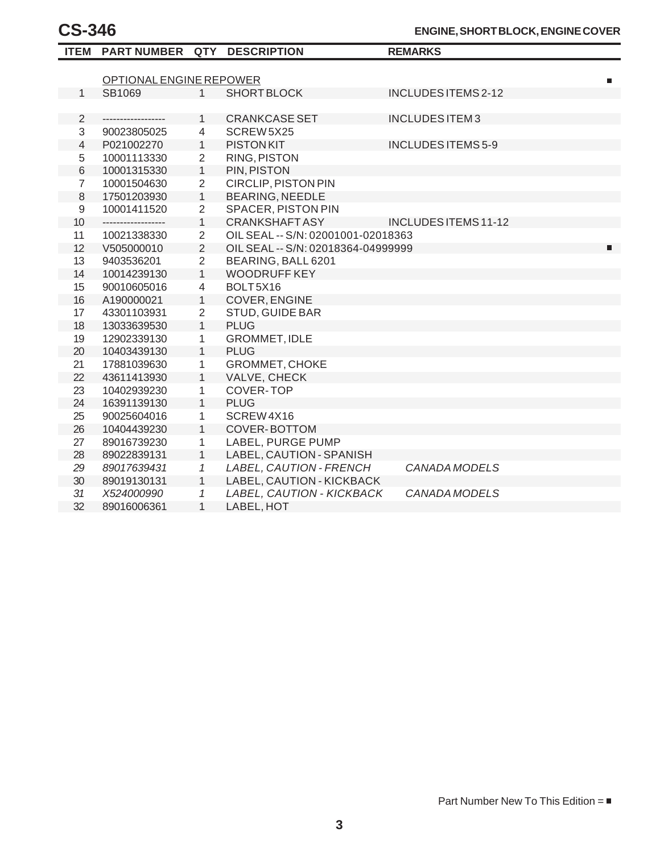|                  | ITEM PART NUMBER QTY DESCRIPTION |                |                                    | <b>REMARKS</b>            |  |  |
|------------------|----------------------------------|----------------|------------------------------------|---------------------------|--|--|
|                  |                                  |                |                                    |                           |  |  |
|                  | OPTIONAL ENGINE REPOWER          |                |                                    | П                         |  |  |
| $\mathbf{1}$     | SB1069                           | $\mathbf{1}$   | <b>SHORT BLOCK</b>                 | INCLUDES ITEMS 2-12       |  |  |
|                  |                                  |                |                                    |                           |  |  |
| $\overline{2}$   | ------------------               | $\mathbf{1}$   | <b>CRANKCASE SET</b>               | <b>INCLUDES ITEM3</b>     |  |  |
| 3                | 90023805025                      | 4              | SCREW 5X25                         |                           |  |  |
| $\overline{4}$   | P021002270                       | $\mathbf{1}$   | <b>PISTON KIT</b>                  | <b>INCLUDES ITEMS 5-9</b> |  |  |
| 5                | 10001113330                      | $\overline{2}$ | <b>RING, PISTON</b>                |                           |  |  |
| $\,6$            | 10001315330                      | $\mathbf{1}$   | PIN, PISTON                        |                           |  |  |
| $\overline{7}$   | 10001504630                      | $\overline{2}$ | <b>CIRCLIP, PISTON PIN</b>         |                           |  |  |
| 8                | 17501203930                      | $\overline{1}$ | <b>BEARING, NEEDLE</b>             |                           |  |  |
| $\boldsymbol{9}$ | 10001411520                      | $\overline{2}$ | SPACER, PISTON PIN                 |                           |  |  |
| 10               | ------------------               | $\mathbf{1}$   | <b>CRANKSHAFTASY</b>               | INCLUDES ITEMS 11-12      |  |  |
| 11               | 10021338330                      | $\overline{2}$ | OIL SEAL -- S/N: 02001001-02018363 |                           |  |  |
| 12               | V505000010                       | $\overline{2}$ | OIL SEAL -- S/N: 02018364-04999999 | П                         |  |  |
| 13               | 9403536201                       | $\overline{2}$ | BEARING, BALL 6201                 |                           |  |  |
| 14               | 10014239130                      | $\mathbf{1}$   | <b>WOODRUFF KEY</b>                |                           |  |  |
| 15               | 90010605016                      | $\overline{4}$ | BOLT5X16                           |                           |  |  |
| 16               | A190000021                       | $\mathbf{1}$   | COVER, ENGINE                      |                           |  |  |
| 17               | 43301103931                      | $\overline{2}$ | STUD, GUIDE BAR                    |                           |  |  |
| 18               | 13033639530                      | $\mathbf{1}$   | <b>PLUG</b>                        |                           |  |  |
| 19               | 12902339130                      | $\mathbf{1}$   | <b>GROMMET, IDLE</b>               |                           |  |  |
| 20               | 10403439130                      | $\mathbf{1}$   | <b>PLUG</b>                        |                           |  |  |
| 21               | 17881039630                      | 1              | GROMMET, CHOKE                     |                           |  |  |
| 22               | 43611413930                      | $\mathbf{1}$   | VALVE, CHECK                       |                           |  |  |
| 23               | 10402939230                      | 1              | COVER-TOP                          |                           |  |  |
| 24               | 16391139130                      | $\mathbf{1}$   | <b>PLUG</b>                        |                           |  |  |
| 25               | 90025604016                      | 1              | SCREW4X16                          |                           |  |  |
| 26               | 10404439230                      | $\mathbf{1}$   | <b>COVER-BOTTOM</b>                |                           |  |  |
| 27               | 89016739230                      | 1              | LABEL, PURGE PUMP                  |                           |  |  |
| 28               | 89022839131                      | $\mathbf{1}$   | LABEL, CAUTION - SPANISH           |                           |  |  |
| 29               | 89017639431                      | $\mathcal I$   | LABEL, CAUTION - FRENCH            | <b>CANADA MODELS</b>      |  |  |
| 30               | 89019130131                      | $\mathbf{1}$   | LABEL, CAUTION - KICKBACK          |                           |  |  |
| 31               | X524000990                       | $\mathcal I$   | LABEL, CAUTION - KICKBACK          | CANADA MODELS             |  |  |
| 32               | 89016006361                      | $\mathbf{1}$   | LABEL, HOT                         |                           |  |  |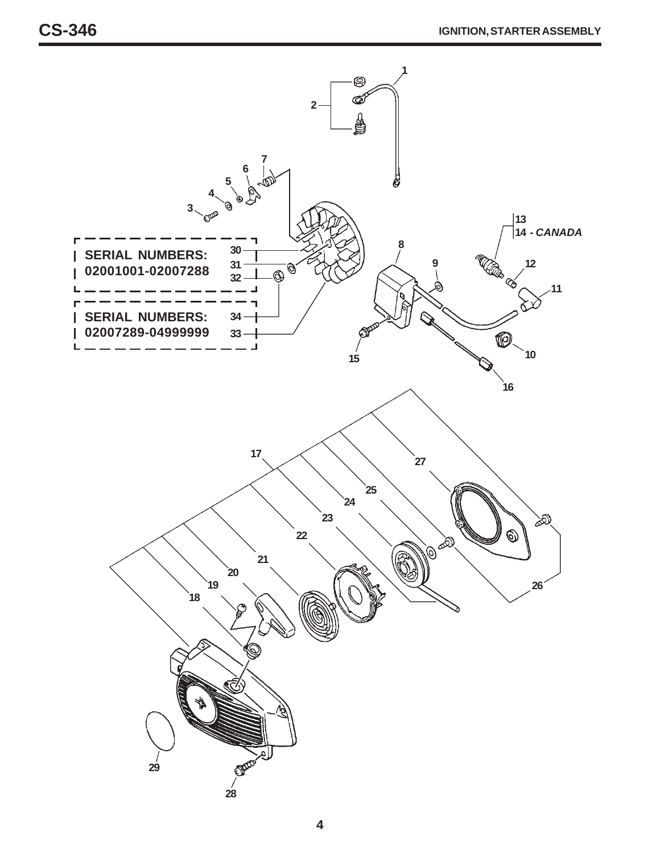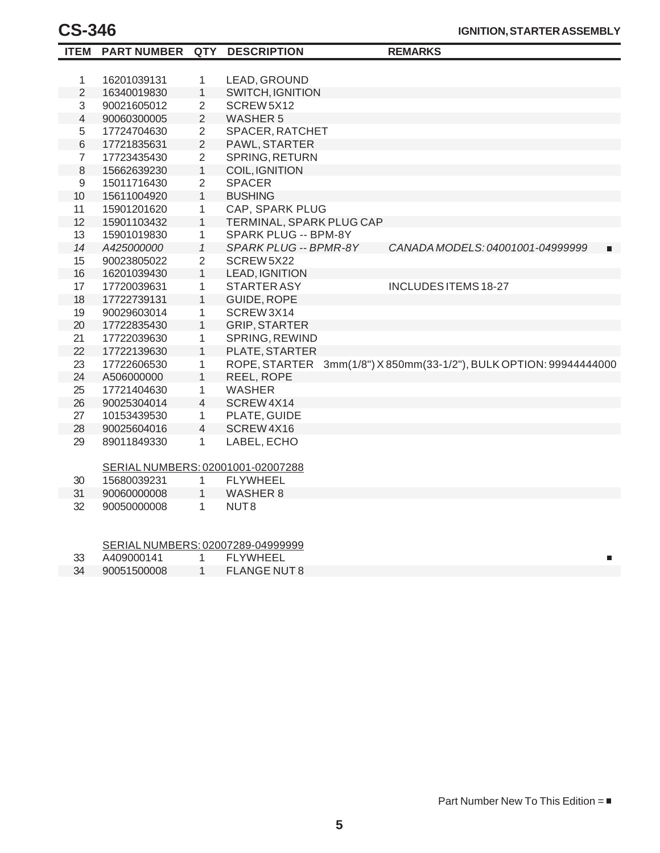| <b>ITEM</b>      | <b>PART NUMBER QTY</b>            |                | <b>DESCRIPTION</b>       |  | <b>REMARKS</b>                                                     |  |
|------------------|-----------------------------------|----------------|--------------------------|--|--------------------------------------------------------------------|--|
|                  |                                   |                |                          |  |                                                                    |  |
| $\mathbf{1}$     | 16201039131                       | 1              | LEAD, GROUND             |  |                                                                    |  |
| $\overline{2}$   | 16340019830                       | $\mathbf{1}$   | <b>SWITCH, IGNITION</b>  |  |                                                                    |  |
| 3                | 90021605012                       | $\overline{2}$ | SCREW 5X12               |  |                                                                    |  |
| $\overline{4}$   | 90060300005                       | $\overline{2}$ | <b>WASHER 5</b>          |  |                                                                    |  |
| 5                | 17724704630                       | $\overline{2}$ | SPACER, RATCHET          |  |                                                                    |  |
| $6\,$            | 17721835631                       | $\overline{2}$ | PAWL, STARTER            |  |                                                                    |  |
| $\overline{7}$   | 17723435430                       | $\overline{2}$ | <b>SPRING, RETURN</b>    |  |                                                                    |  |
| $\,8\,$          | 15662639230                       | $\mathbf{1}$   | COIL, IGNITION           |  |                                                                    |  |
| $\boldsymbol{9}$ | 15011716430                       | $\overline{2}$ | <b>SPACER</b>            |  |                                                                    |  |
| 10               | 15611004920                       | $\mathbf{1}$   | <b>BUSHING</b>           |  |                                                                    |  |
| 11               | 15901201620                       | 1              | CAP, SPARK PLUG          |  |                                                                    |  |
| 12               | 15901103432                       | $\mathbf{1}$   | TERMINAL, SPARK PLUG CAP |  |                                                                    |  |
| 13               | 15901019830                       | $\mathbf{1}$   | SPARK PLUG -- BPM-8Y     |  |                                                                    |  |
| 14               | A425000000                        | $\mathcal{I}$  | SPARK PLUG -- BPMR-8Y    |  | CANADA MODELS: 04001001-04999999<br>п                              |  |
| 15               | 90023805022                       | $\overline{2}$ | SCREW 5X22               |  |                                                                    |  |
| 16               | 16201039430                       | $\mathbf{1}$   | LEAD, IGNITION           |  |                                                                    |  |
| 17               | 17720039631                       | $\mathbf{1}$   | <b>STARTER ASY</b>       |  | <b>INCLUDES ITEMS 18-27</b>                                        |  |
| 18               | 17722739131                       | $\mathbf{1}$   | GUIDE, ROPE              |  |                                                                    |  |
| 19               | 90029603014                       | $\mathbf{1}$   | SCREW3X14                |  |                                                                    |  |
| 20               | 17722835430                       | $\mathbf{1}$   | <b>GRIP, STARTER</b>     |  |                                                                    |  |
| 21               | 17722039630                       | $\mathbf{1}$   | SPRING, REWIND           |  |                                                                    |  |
| 22               | 17722139630                       | $\mathbf{1}$   | PLATE, STARTER           |  |                                                                    |  |
| 23               | 17722606530                       | 1              |                          |  | ROPE, STARTER 3mm(1/8") X 850mm(33-1/2"), BULK OPTION: 99944444000 |  |
| 24               | A506000000                        | $\mathbf{1}$   | REEL, ROPE               |  |                                                                    |  |
| 25               | 17721404630                       | $\mathbf{1}$   | <b>WASHER</b>            |  |                                                                    |  |
| 26               | 90025304014                       | $\overline{4}$ | SCREW4X14                |  |                                                                    |  |
| 27               | 10153439530                       | $\mathbf{1}$   | PLATE, GUIDE             |  |                                                                    |  |
| 28               | 90025604016                       | $\overline{4}$ | SCREW4X16                |  |                                                                    |  |
| 29               | 89011849330                       | $\mathbf{1}$   | LABEL, ECHO              |  |                                                                    |  |
|                  |                                   |                |                          |  |                                                                    |  |
|                  | SERIAL NUMBERS: 02001001-02007288 |                |                          |  |                                                                    |  |
| 30               | 15680039231                       | 1              | <b>FLYWHEEL</b>          |  |                                                                    |  |
| 31               | 90060000008                       | $\mathbf{1}$   | <b>WASHER 8</b>          |  |                                                                    |  |
| 32               | 90050000008                       | $\mathbf{1}$   | NUT <sub>8</sub>         |  |                                                                    |  |
|                  |                                   |                |                          |  |                                                                    |  |
|                  |                                   |                |                          |  |                                                                    |  |
|                  | SERIAL NUMBERS: 02007289-04999999 |                |                          |  |                                                                    |  |
| 33               | A409000141                        | $\mathbf{1}$   | <b>FLYWHEEL</b>          |  | П                                                                  |  |
| 34               | 90051500008                       | $\mathbf{1}$   | <b>FLANGE NUT 8</b>      |  |                                                                    |  |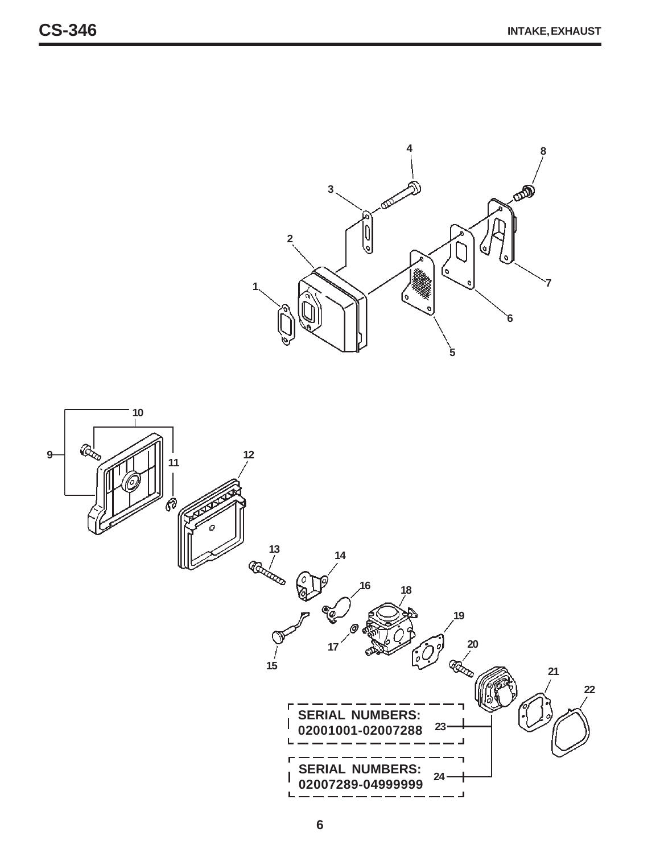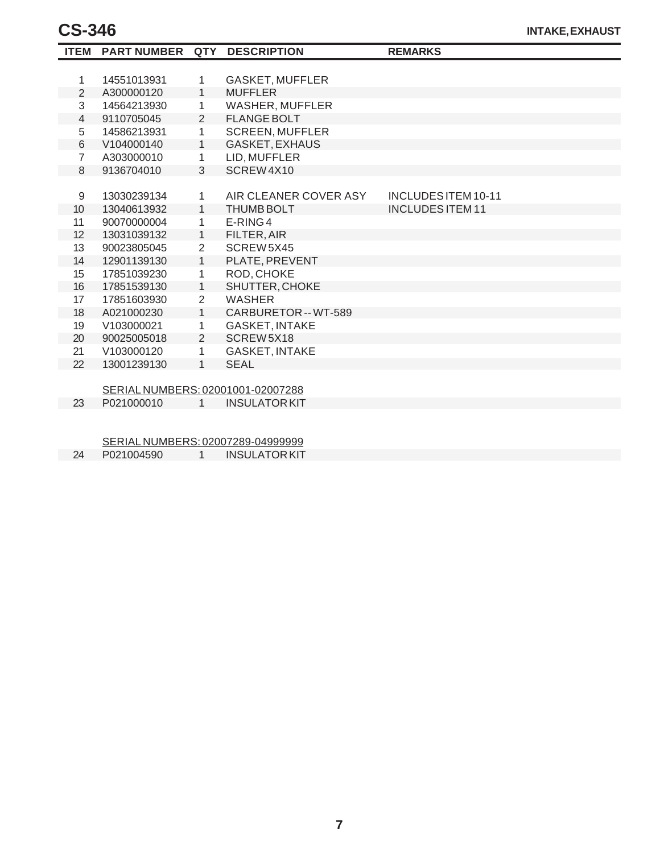| <b>ITEM</b>    | PART NUMBER QTY DESCRIPTION       |                |                        | <b>REMARKS</b>             |
|----------------|-----------------------------------|----------------|------------------------|----------------------------|
|                |                                   |                |                        |                            |
| 1              | 14551013931                       | 1              | <b>GASKET, MUFFLER</b> |                            |
| $\overline{2}$ | A300000120                        | $\mathbf{1}$   | <b>MUFFLER</b>         |                            |
| 3              | 14564213930                       | 1              | WASHER, MUFFLER        |                            |
| 4              | 9110705045                        | 2              | <b>FLANGE BOLT</b>     |                            |
| 5              | 14586213931                       | 1              | <b>SCREEN, MUFFLER</b> |                            |
| 6              | V104000140                        | $\mathbf{1}$   | <b>GASKET, EXHAUS</b>  |                            |
| $\overline{7}$ | A303000010                        | 1              | LID, MUFFLER           |                            |
| 8              | 9136704010                        | 3              | SCREW4X10              |                            |
|                |                                   |                |                        |                            |
| 9              | 13030239134                       | 1              | AIR CLEANER COVER ASY  | <b>INCLUDES ITEM 10-11</b> |
| 10             | 13040613932                       | $\mathbf{1}$   | <b>THUMB BOLT</b>      | <b>INCLUDES ITEM 11</b>    |
| 11             | 90070000004                       | 1              | E-RING4                |                            |
| 12             | 13031039132                       | $\mathbf{1}$   | FILTER, AIR            |                            |
| 13             | 90023805045                       | $\overline{2}$ | SCREW5X45              |                            |
| 14             | 12901139130                       | $\mathbf{1}$   | PLATE, PREVENT         |                            |
| 15             | 17851039230                       | 1              | ROD, CHOKE             |                            |
| 16             | 17851539130                       | 1              | SHUTTER, CHOKE         |                            |
| 17             | 17851603930                       | $\overline{2}$ | <b>WASHER</b>          |                            |
| 18             | A021000230                        | $\mathbf{1}$   | CARBURETOR -- WT-589   |                            |
| 19             | V103000021                        | 1              | <b>GASKET, INTAKE</b>  |                            |
| 20             | 90025005018                       | 2              | SCREW5X18              |                            |
| 21             | V103000120                        | 1              | <b>GASKET, INTAKE</b>  |                            |
| 22             | 13001239130                       | $\mathbf{1}$   | <b>SEAL</b>            |                            |
|                |                                   |                |                        |                            |
|                | SERIAL NUMBERS: 02001001-02007288 |                |                        |                            |
| 23             | P021000010                        | 1              | <b>INSULATOR KIT</b>   |                            |
|                |                                   |                |                        |                            |
|                |                                   |                |                        |                            |
|                | SERIAL NUMBERS: 02007289-04999999 |                |                        |                            |
|                | $\sum_{n=1}^{\infty}$             |                |                        |                            |

24 P021004590 1 INSULATOR KIT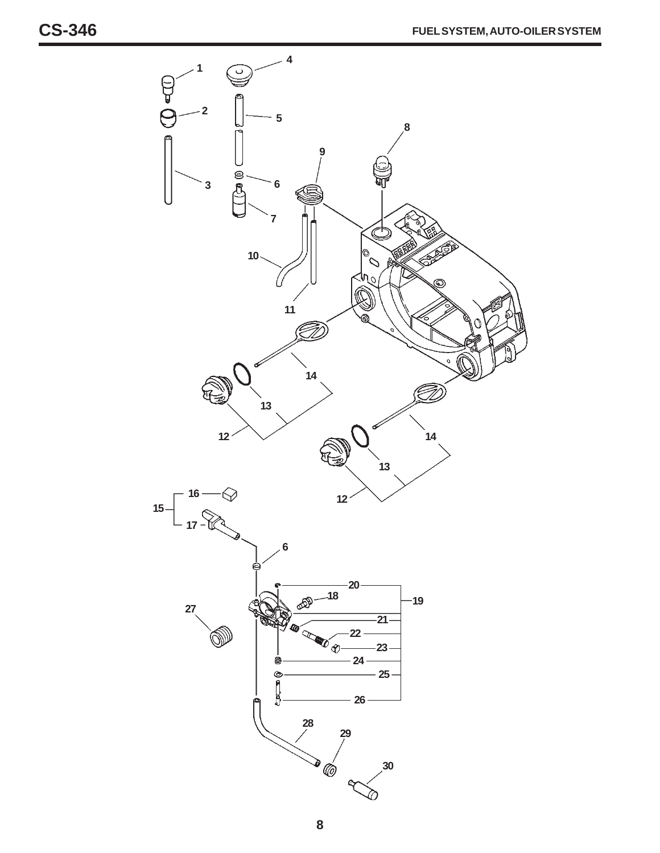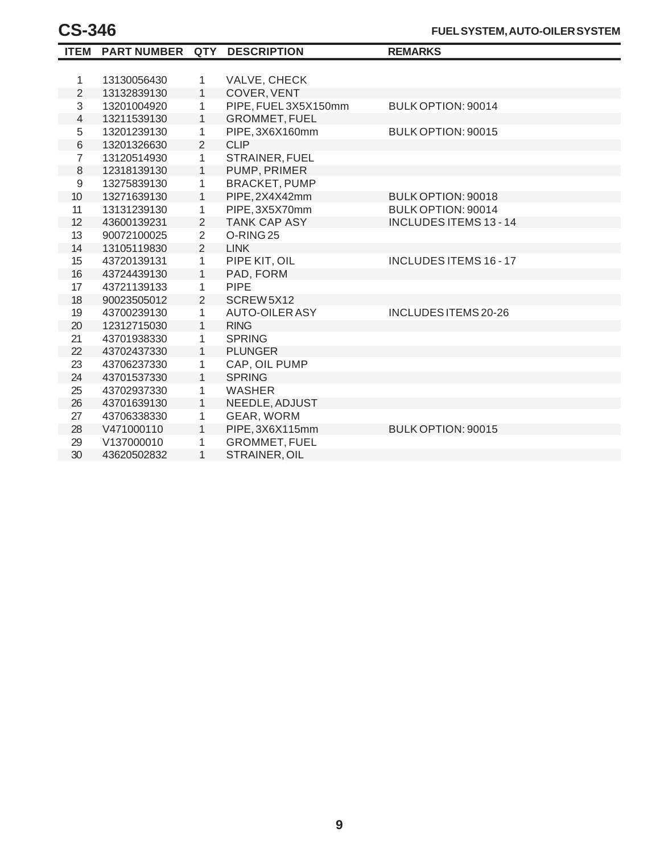|                | ITEM PARTNUMBER QTY |                | <b>DESCRIPTION</b>    | <b>REMARKS</b>                |
|----------------|---------------------|----------------|-----------------------|-------------------------------|
|                |                     |                |                       |                               |
| 1              | 13130056430         | 1              | VALVE, CHECK          |                               |
| $\overline{2}$ | 13132839130         | $\mathbf{1}$   | COVER, VENT           |                               |
| 3              | 13201004920         | 1              | PIPE, FUEL3X5X150mm   | BULK OPTION: 90014            |
| $\overline{4}$ | 13211539130         | $\mathbf{1}$   | <b>GROMMET, FUEL</b>  |                               |
| 5              | 13201239130         | 1              | PIPE, 3X6X160mm       | BULK OPTION: 90015            |
| $\,6$          | 13201326630         | $\overline{2}$ | <b>CLIP</b>           |                               |
| $\overline{7}$ | 13120514930         | $\mathbf{1}$   | STRAINER, FUEL        |                               |
| 8              | 12318139130         | $\mathbf{1}$   | PUMP, PRIMER          |                               |
| $\mathsf 9$    | 13275839130         | $\mathbf{1}$   | <b>BRACKET, PUMP</b>  |                               |
| 10             | 13271639130         | 1              | PIPE, 2X4X42mm        | BULK OPTION: 90018            |
| 11             | 13131239130         | 1              | PIPE, 3X5X70mm        | BULK OPTION: 90014            |
| 12             | 43600139231         | 2              | <b>TANK CAP ASY</b>   | <b>INCLUDES ITEMS 13 - 14</b> |
| 13             | 90072100025         | $\overline{2}$ | O-RING <sub>25</sub>  |                               |
| 14             | 13105119830         | $\overline{2}$ | <b>LINK</b>           |                               |
| 15             | 43720139131         | $\mathbf{1}$   | PIPE KIT, OIL         | <b>INCLUDES ITEMS 16 - 17</b> |
| 16             | 43724439130         | 1              | PAD, FORM             |                               |
| 17             | 43721139133         | 1              | <b>PIPE</b>           |                               |
| 18             | 90023505012         | $\overline{2}$ | SCREW 5X12            |                               |
| 19             | 43700239130         | 1              | <b>AUTO-OILER ASY</b> | INCLUDES ITEMS 20-26          |
| 20             | 12312715030         | $\mathbf{1}$   | <b>RING</b>           |                               |
| 21             | 43701938330         | $\mathbf{1}$   | <b>SPRING</b>         |                               |
| 22             | 43702437330         | $\mathbf{1}$   | <b>PLUNGER</b>        |                               |
| 23             | 43706237330         | 1              | CAP, OIL PUMP         |                               |
| 24             | 43701537330         | $\mathbf{1}$   | <b>SPRING</b>         |                               |
| 25             | 43702937330         | 1              | <b>WASHER</b>         |                               |
| 26             | 43701639130         | $\mathbf{1}$   | NEEDLE, ADJUST        |                               |
| 27             | 43706338330         | 1              | GEAR, WORM            |                               |
| 28             | V471000110          | $\mathbf{1}$   | PIPE, 3X6X115mm       | BULK OPTION: 90015            |
| 29             | V137000010          | 1              | <b>GROMMET, FUEL</b>  |                               |
| 30             | 43620502832         | $\mathbf{1}$   | STRAINER, OIL         |                               |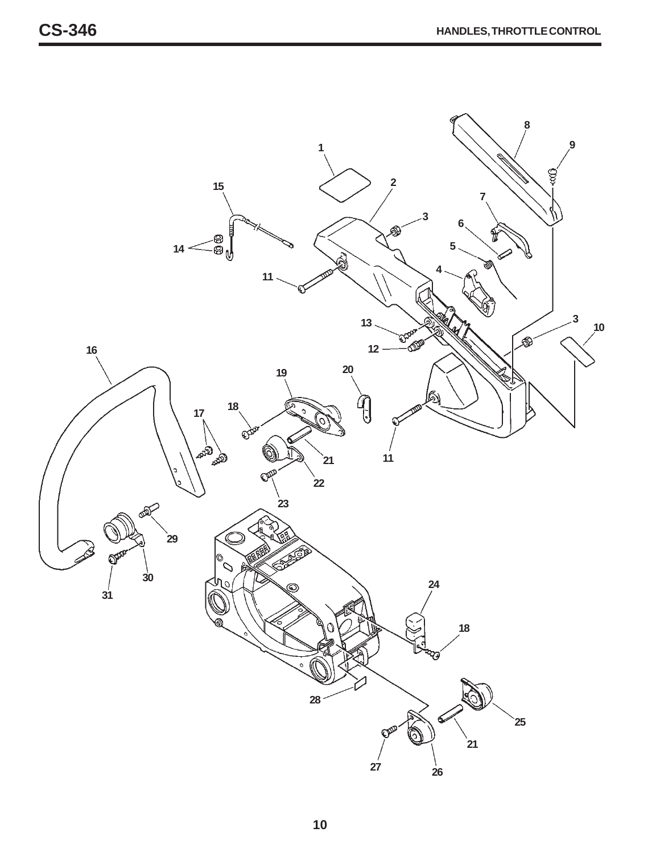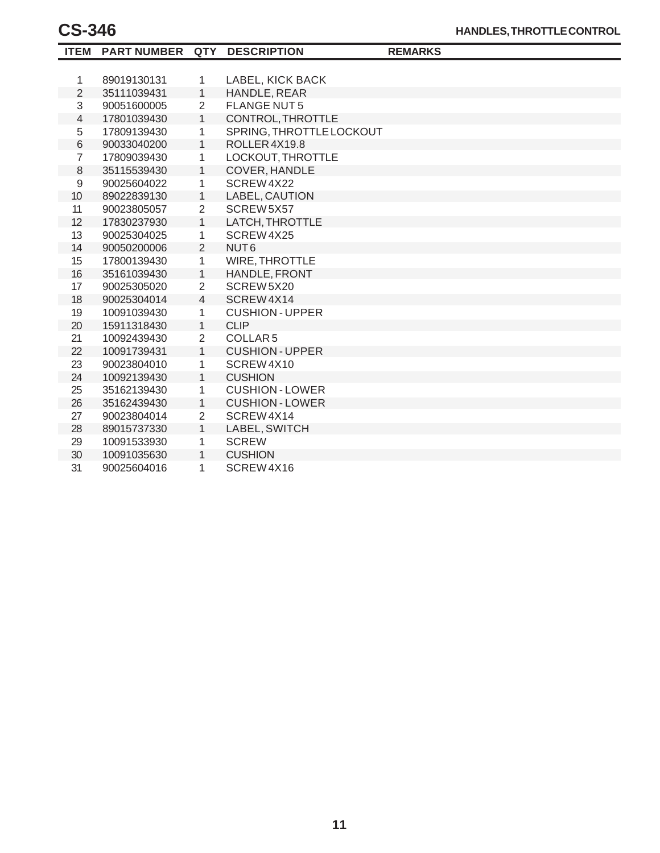|                | <b>ITEM PART NUMBER</b> |                | QTY DESCRIPTION          | <b>REMARKS</b> |
|----------------|-------------------------|----------------|--------------------------|----------------|
|                |                         |                |                          |                |
| 1              | 89019130131             | $\mathbf{1}$   | LABEL, KICK BACK         |                |
| $\overline{2}$ | 35111039431             | $\mathbf{1}$   | HANDLE, REAR             |                |
| 3              | 90051600005             | $\overline{2}$ | <b>FLANGE NUT5</b>       |                |
| 4              | 17801039430             | $\mathbf{1}$   | CONTROL, THROTTLE        |                |
| 5              | 17809139430             | 1              | SPRING, THROTTLE LOCKOUT |                |
| $\,6$          | 90033040200             | $\mathbf{1}$   | ROLLER4X19.8             |                |
| $\overline{7}$ | 17809039430             | 1              | LOCKOUT, THROTTLE        |                |
| $\,8\,$        | 35115539430             | $\mathbf{1}$   | <b>COVER, HANDLE</b>     |                |
| 9              | 90025604022             | 1              | SCREW4X22                |                |
| 10             | 89022839130             | $\mathbf{1}$   | LABEL, CAUTION           |                |
| 11             | 90023805057             | $\overline{2}$ | SCREW 5X57               |                |
| 12             | 17830237930             | $\mathbf{1}$   | LATCH, THROTTLE          |                |
| 13             | 90025304025             | 1              | SCREW4X25                |                |
| 14             | 90050200006             | 2              | NUT <sub>6</sub>         |                |
| 15             | 17800139430             | $\mathbf{1}$   | <b>WIRE, THROTTLE</b>    |                |
| 16             | 35161039430             | $\mathbf{1}$   | HANDLE, FRONT            |                |
| 17             | 90025305020             | $\overline{2}$ | SCREW5X20                |                |
| 18             | 90025304014             | $\overline{4}$ | SCREW4X14                |                |
| 19             | 10091039430             | 1              | <b>CUSHION-UPPER</b>     |                |
| 20             | 15911318430             | $\mathbf{1}$   | <b>CLIP</b>              |                |
| 21             | 10092439430             | $\overline{2}$ | COLLAR <sub>5</sub>      |                |
| 22             | 10091739431             | $\mathbf{1}$   | <b>CUSHION-UPPER</b>     |                |
| 23             | 90023804010             | 1              | SCREW4X10                |                |
| 24             | 10092139430             | $\mathbf{1}$   | <b>CUSHION</b>           |                |
| 25             | 35162139430             | 1              | <b>CUSHION-LOWER</b>     |                |
| 26             | 35162439430             | $\mathbf{1}$   | <b>CUSHION-LOWER</b>     |                |
| 27             | 90023804014             | $\overline{2}$ | SCREW4X14                |                |
| 28             | 89015737330             | $\mathbf{1}$   | LABEL, SWITCH            |                |
| 29             | 10091533930             | 1              | <b>SCREW</b>             |                |
| 30             | 10091035630             | 1              | <b>CUSHION</b>           |                |
| 31             | 90025604016             | 1              | SCREW4X16                |                |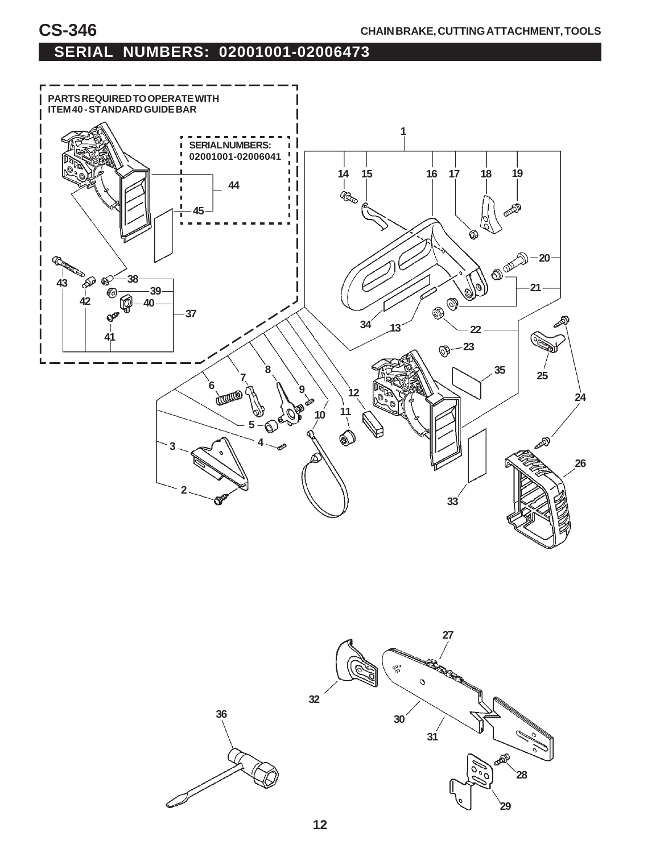

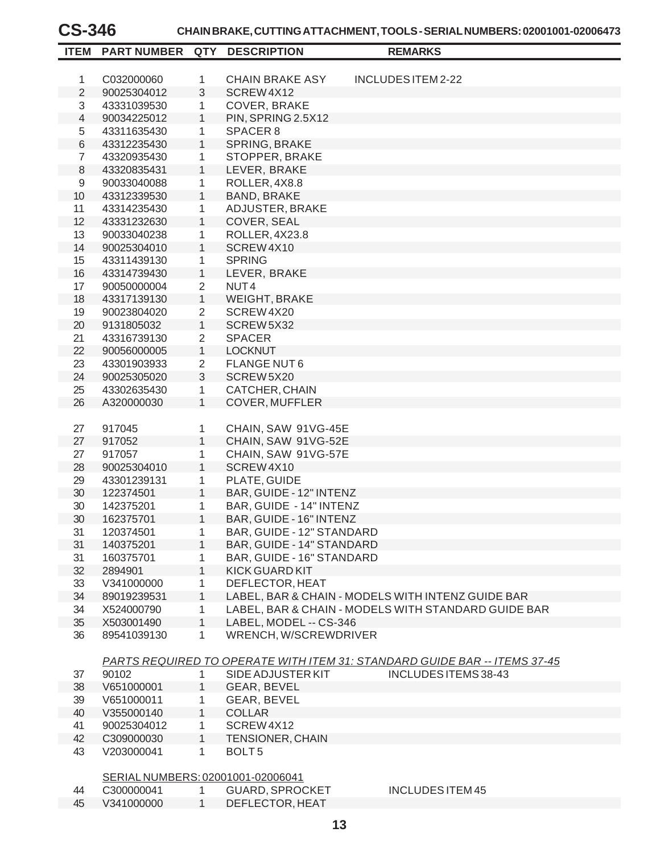#### **CS-346 CHAIN BRAKE, CUTTING ATTACHMENT, TOOLS - SERIAL NUMBERS: 02001001-02006473**

| <b>ITEM</b>    | PART NUMBER QTY                   |                | <b>DESCRIPTION</b>        | <b>REMARKS</b>                                                                   |  |
|----------------|-----------------------------------|----------------|---------------------------|----------------------------------------------------------------------------------|--|
|                |                                   |                |                           |                                                                                  |  |
| $\mathbf{1}$   | C032000060                        | 1              | <b>CHAIN BRAKE ASY</b>    | INCLUDES ITEM 2-22                                                               |  |
| $\overline{2}$ | 90025304012                       | 3              | SCREW4X12                 |                                                                                  |  |
| 3              | 43331039530                       | 1              | COVER, BRAKE              |                                                                                  |  |
| $\overline{4}$ | 90034225012                       | $\mathbf{1}$   | PIN, SPRING 2.5X12        |                                                                                  |  |
| 5              | 43311635430                       | 1              | SPACER <sub>8</sub>       |                                                                                  |  |
| 6              | 43312235430                       | $\mathbf{1}$   | SPRING, BRAKE             |                                                                                  |  |
| $\overline{7}$ | 43320935430                       | 1              | STOPPER, BRAKE            |                                                                                  |  |
| 8              | 43320835431                       | $\mathbf{1}$   | LEVER, BRAKE              |                                                                                  |  |
| 9              | 90033040088                       | 1              | ROLLER, 4X8.8             |                                                                                  |  |
| 10             | 43312339530                       | $\mathbf{1}$   | <b>BAND, BRAKE</b>        |                                                                                  |  |
| 11             | 43314235430                       | 1              | ADJUSTER, BRAKE           |                                                                                  |  |
| 12             | 43331232630                       | $\mathbf{1}$   | COVER, SEAL               |                                                                                  |  |
| 13             | 90033040238                       | 1              | ROLLER, 4X23.8            |                                                                                  |  |
| 14             | 90025304010                       | $\mathbf{1}$   | SCREW4X10                 |                                                                                  |  |
| 15             | 43311439130                       | 1              | <b>SPRING</b>             |                                                                                  |  |
| 16             | 43314739430                       | $\mathbf{1}$   | LEVER, BRAKE              |                                                                                  |  |
| 17             | 90050000004                       | $\overline{2}$ | NUT <sub>4</sub>          |                                                                                  |  |
| 18             | 43317139130                       | $\mathbf{1}$   | <b>WEIGHT, BRAKE</b>      |                                                                                  |  |
| 19             | 90023804020                       | $\overline{2}$ | SCREW4X20                 |                                                                                  |  |
| 20             | 9131805032                        | $\mathbf{1}$   | SCREW5X32                 |                                                                                  |  |
| 21             | 43316739130                       | $\overline{2}$ | <b>SPACER</b>             |                                                                                  |  |
| 22             | 90056000005                       | $\mathbf{1}$   | <b>LOCKNUT</b>            |                                                                                  |  |
| 23             | 43301903933                       | $\overline{2}$ | <b>FLANGE NUT6</b>        |                                                                                  |  |
| 24             | 90025305020                       | 3              | SCREW5X20                 |                                                                                  |  |
| 25             | 43302635430                       | $\mathbf{1}$   | CATCHER, CHAIN            |                                                                                  |  |
| 26             | A320000030                        | $\mathbf{1}$   | <b>COVER, MUFFLER</b>     |                                                                                  |  |
|                |                                   |                |                           |                                                                                  |  |
| 27             | 917045                            | 1              | CHAIN, SAW 91VG-45E       |                                                                                  |  |
| 27             | 917052                            | $\mathbf{1}$   | CHAIN, SAW 91VG-52E       |                                                                                  |  |
| 27             | 917057                            | 1              | CHAIN, SAW 91VG-57E       |                                                                                  |  |
| 28             | 90025304010                       | $\mathbf{1}$   | SCREW4X10                 |                                                                                  |  |
| 29             | 43301239131                       | 1              | PLATE, GUIDE              |                                                                                  |  |
| 30             | 122374501                         | $\mathbf{1}$   | BAR, GUIDE - 12" INTENZ   |                                                                                  |  |
| 30             | 142375201                         | 1              | BAR, GUIDE - 14" INTENZ   |                                                                                  |  |
| 30             | 162375701                         | $\mathbf{1}$   | BAR, GUIDE - 16" INTENZ   |                                                                                  |  |
| 31             | 120374501                         | 1              | BAR, GUIDE - 12" STANDARD |                                                                                  |  |
| 31             | 140375201                         | 1              | BAR, GUIDE - 14" STANDARD |                                                                                  |  |
| 31             | 160375701                         | 1              | BAR, GUIDE - 16" STANDARD |                                                                                  |  |
| 32             | 2894901                           | $\mathbf{1}$   | <b>KICK GUARD KIT</b>     |                                                                                  |  |
| 33             | V341000000                        | 1              | DEFLECTOR, HEAT           |                                                                                  |  |
| 34             | 89019239531                       | 1              |                           | LABEL, BAR & CHAIN - MODELS WITH INTENZ GUIDE BAR                                |  |
| 34             | X524000790                        | 1              |                           | LABEL, BAR & CHAIN - MODELS WITH STANDARD GUIDE BAR                              |  |
| 35             | X503001490                        | $\mathbf{1}$   | LABEL, MODEL -- CS-346    |                                                                                  |  |
| 36             | 89541039130                       | 1              | WRENCH, W/SCREWDRIVER     |                                                                                  |  |
|                |                                   |                |                           |                                                                                  |  |
|                |                                   |                |                           | <b>PARTS REQUIRED TO OPERATE WITH ITEM 31: STANDARD GUIDE BAR -- ITEMS 37-45</b> |  |
| 37             | 90102                             | 1              | SIDE ADJUSTER KIT         | INCLUDES ITEMS 38-43                                                             |  |
| 38             | V651000001                        | 1              | GEAR, BEVEL               |                                                                                  |  |
| 39             | V651000011                        | 1              | GEAR, BEVEL               |                                                                                  |  |
| 40             | V355000140                        | $\mathbf{1}$   | <b>COLLAR</b>             |                                                                                  |  |
| 41             | 90025304012                       | $\mathbf{1}$   | SCREW4X12                 |                                                                                  |  |
| 42             | C309000030                        | $\mathbf{1}$   | <b>TENSIONER, CHAIN</b>   |                                                                                  |  |
| 43             | V203000041                        | 1              | BOLT <sub>5</sub>         |                                                                                  |  |
|                |                                   |                |                           |                                                                                  |  |
|                | SERIAL NUMBERS: 02001001-02006041 |                |                           |                                                                                  |  |
| 44             | C300000041                        | 1              | <b>GUARD, SPROCKET</b>    | INCLUDES ITEM 45                                                                 |  |
| 45             | V341000000                        | 1              | DEFLECTOR, HEAT           |                                                                                  |  |
|                |                                   |                |                           |                                                                                  |  |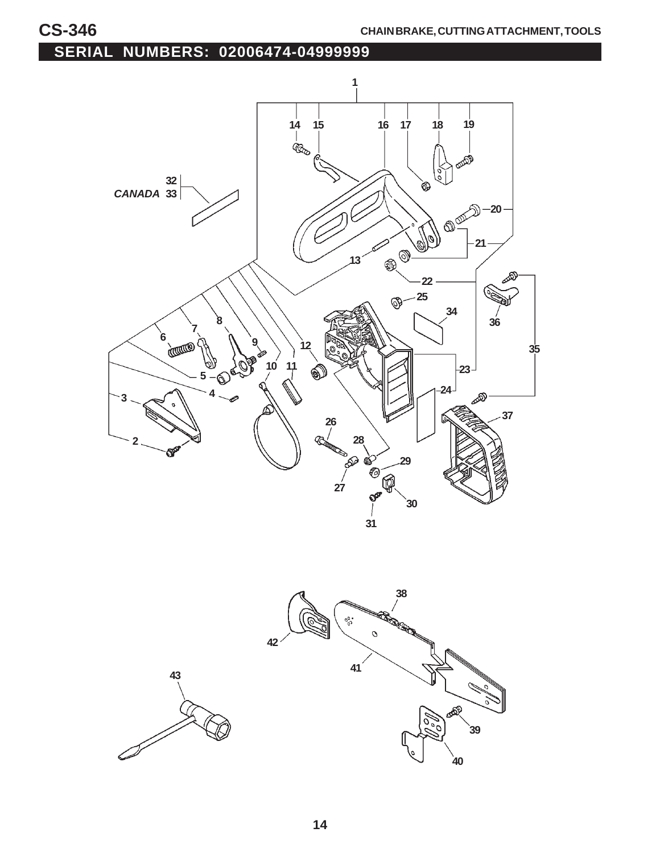## **SERIAL NUMBERS: 02006474-04999999**



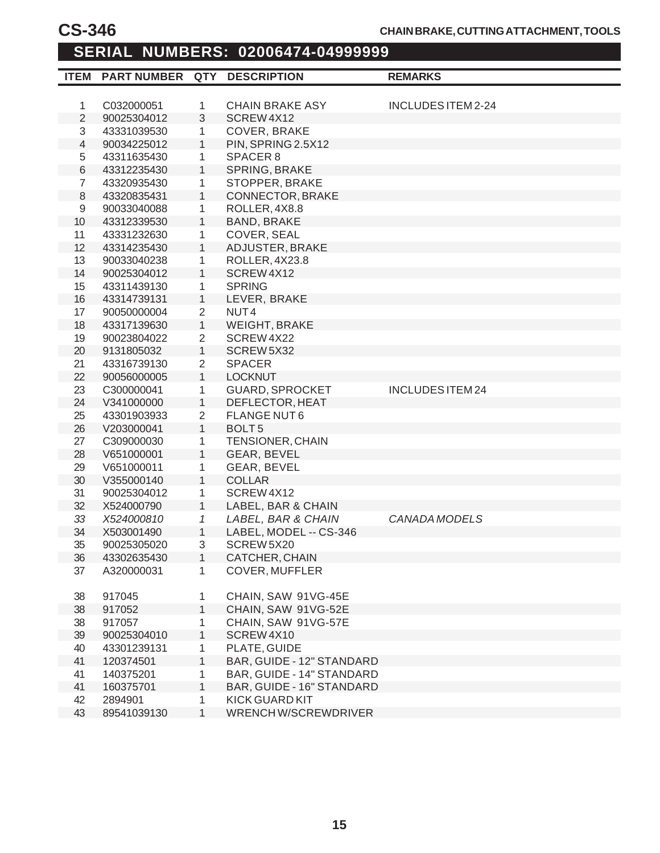#### **ITEM PART NUMBER QTY DESCRIPTION REMARKS SERIAL NUMBERS: 02006474-04999999**

| <b>ITEM</b>      | PART NUMBER QTY DESCRIPTION |                |                           | <b>REMARKS</b>          |
|------------------|-----------------------------|----------------|---------------------------|-------------------------|
|                  |                             |                |                           |                         |
| $\mathbf{1}$     | C032000051                  | 1              | <b>CHAIN BRAKE ASY</b>    | INCLUDES ITEM 2-24      |
| $\overline{2}$   | 90025304012                 | 3              | SCREW4X12                 |                         |
| 3                | 43331039530                 | $\mathbf{1}$   | COVER, BRAKE              |                         |
| $\overline{4}$   | 90034225012                 | $\mathbf{1}$   | PIN, SPRING 2.5X12        |                         |
| 5                | 43311635430                 | 1              | SPACER 8                  |                         |
| $\,6$            | 43312235430                 | $\mathbf{1}$   | SPRING, BRAKE             |                         |
| $\overline{7}$   | 43320935430                 | 1              | STOPPER, BRAKE            |                         |
| 8                | 43320835431                 | $\mathbf{1}$   | CONNECTOR, BRAKE          |                         |
| $\boldsymbol{9}$ | 90033040088                 | $\mathbf{1}$   | ROLLER, 4X8.8             |                         |
| 10               | 43312339530                 | $\mathbf{1}$   | <b>BAND, BRAKE</b>        |                         |
| 11               | 43331232630                 | 1              | COVER, SEAL               |                         |
| 12               | 43314235430                 | $\mathbf{1}$   | ADJUSTER, BRAKE           |                         |
| 13               | 90033040238                 | 1              | ROLLER, 4X23.8            |                         |
| 14               | 90025304012                 | $\mathbf{1}$   | SCREW4X12                 |                         |
| 15               | 43311439130                 | 1              | <b>SPRING</b>             |                         |
| 16               | 43314739131                 | $\mathbf{1}$   | LEVER, BRAKE              |                         |
| 17               | 90050000004                 | $\overline{2}$ | NUT <sub>4</sub>          |                         |
| 18               | 43317139630                 | $\mathbf{1}$   | <b>WEIGHT, BRAKE</b>      |                         |
| 19               | 90023804022                 | $\overline{2}$ | SCREW 4X22                |                         |
| 20               | 9131805032                  | $\mathbf{1}$   | SCREW 5X32                |                         |
| 21               | 43316739130                 | $\overline{2}$ | <b>SPACER</b>             |                         |
| 22               | 90056000005                 | $\mathbf{1}$   | <b>LOCKNUT</b>            |                         |
| 23               | C300000041                  | 1              | <b>GUARD, SPROCKET</b>    | <b>INCLUDES ITEM 24</b> |
| 24               | V341000000                  | $\mathbf{1}$   | DEFLECTOR, HEAT           |                         |
| 25               | 43301903933                 | $\overline{2}$ | <b>FLANGE NUT6</b>        |                         |
| 26               | V203000041                  | $\mathbf{1}$   | BOLT <sub>5</sub>         |                         |
| 27               | C309000030                  | $\mathbf{1}$   | <b>TENSIONER, CHAIN</b>   |                         |
| 28               | V651000001                  | $\mathbf{1}$   | GEAR, BEVEL               |                         |
| 29               | V651000011                  | 1              | GEAR, BEVEL               |                         |
| 30               | V355000140                  | $\mathbf{1}$   | <b>COLLAR</b>             |                         |
| 31               | 90025304012                 | 1              | SCREW4X12                 |                         |
| 32               | X524000790                  | $\mathbf{1}$   | LABEL, BAR & CHAIN        |                         |
| 33               | X524000810                  | $\mathcal{I}$  | LABEL, BAR & CHAIN        | CANADA MODELS           |
| 34               | X503001490                  | $\mathbf{1}$   | LABEL, MODEL -- CS-346    |                         |
| 35               | 90025305020                 | 3              | SCREW 5X20                |                         |
| 36               | 43302635430                 | 1              | CATCHER, CHAIN            |                         |
| 37               | A320000031                  | 1              | <b>COVER, MUFFLER</b>     |                         |
|                  |                             |                |                           |                         |
| 38               | 917045                      | 1              | CHAIN, SAW 91VG-45E       |                         |
| 38               | 917052                      | $\mathbf{1}$   | CHAIN, SAW 91VG-52E       |                         |
| 38               | 917057                      | 1              | CHAIN, SAW 91VG-57E       |                         |
| 39               | 90025304010                 | $\mathbf{1}$   | SCREW4X10                 |                         |
| 40               | 43301239131                 | 1              | PLATE, GUIDE              |                         |
| 41               | 120374501                   | $\mathbf{1}$   | BAR, GUIDE - 12" STANDARD |                         |
| 41               | 140375201                   | 1              | BAR, GUIDE - 14" STANDARD |                         |
| 41               | 160375701                   | $\mathbf{1}$   | BAR, GUIDE - 16" STANDARD |                         |
| 42               | 2894901                     | 1              | <b>KICK GUARD KIT</b>     |                         |
| 43               | 89541039130                 | $\mathbf{1}$   | WRENCHW/SCREWDRIVER       |                         |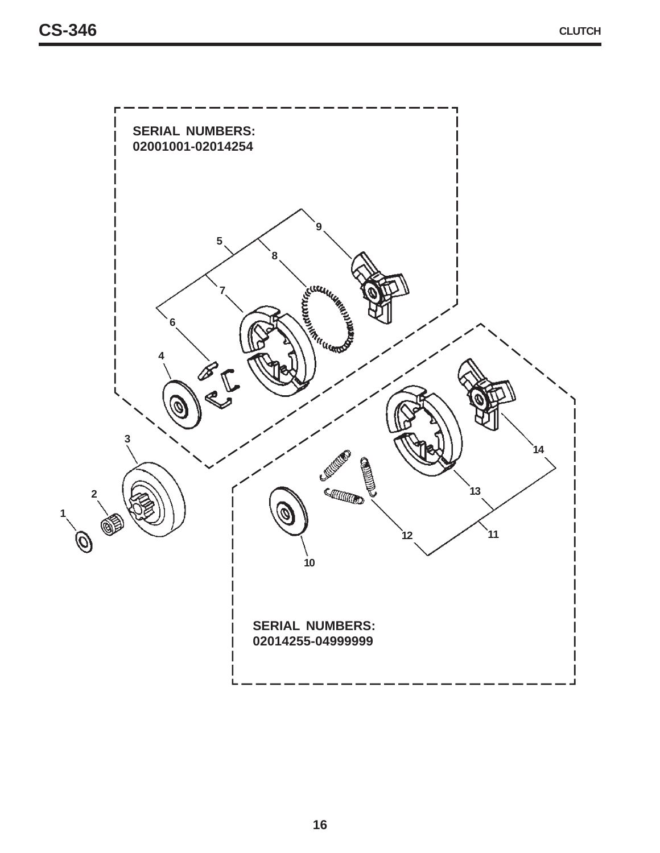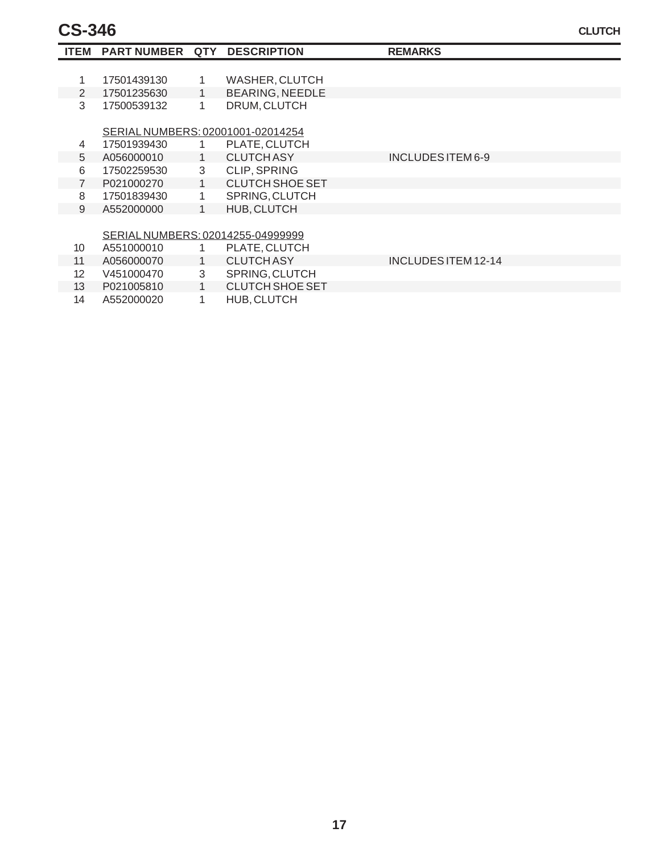# **CS-346**

| <b>ITEM</b>     | <b>PART NUMBER</b>                | <b>QTY</b>   | <b>DESCRIPTION</b>     | <b>REMARKS</b>      |  |
|-----------------|-----------------------------------|--------------|------------------------|---------------------|--|
|                 |                                   |              |                        |                     |  |
| 1               | 17501439130                       | 1            | <b>WASHER, CLUTCH</b>  |                     |  |
| $\overline{2}$  | 17501235630                       | $\mathbf{1}$ | <b>BEARING, NEEDLE</b> |                     |  |
| 3               | 17500539132                       | 1            | DRUM, CLUTCH           |                     |  |
|                 | SERIAL NUMBERS: 02001001-02014254 |              |                        |                     |  |
| 4               | 17501939430                       |              | PLATE, CLUTCH          |                     |  |
| 5               | A056000010                        | $\mathbf{1}$ | <b>CLUTCH ASY</b>      | INCLUDES ITEM 6-9   |  |
| 6               | 17502259530                       | 3            | <b>CLIP, SPRING</b>    |                     |  |
| $\overline{7}$  | P021000270                        | $\mathbf{1}$ | CLUTCH SHOE SET        |                     |  |
| 8               | 17501839430                       | 1.           | SPRING, CLUTCH         |                     |  |
| 9               | A552000000                        | 1            | HUB, CLUTCH            |                     |  |
|                 |                                   |              |                        |                     |  |
|                 | SERIAL NUMBERS: 02014255-04999999 |              |                        |                     |  |
| 10 <sup>°</sup> | A551000010                        |              | PLATE, CLUTCH          |                     |  |
| 11              | A056000070                        | $\mathbf{1}$ | <b>CLUTCH ASY</b>      | INCLUDES ITEM 12-14 |  |
| 12 <sup>°</sup> | V451000470                        | 3            | SPRING, CLUTCH         |                     |  |
| 13              | P021005810                        | 1            | <b>CLUTCH SHOE SET</b> |                     |  |
| 14              | A552000020                        | 1            | HUB, CLUTCH            |                     |  |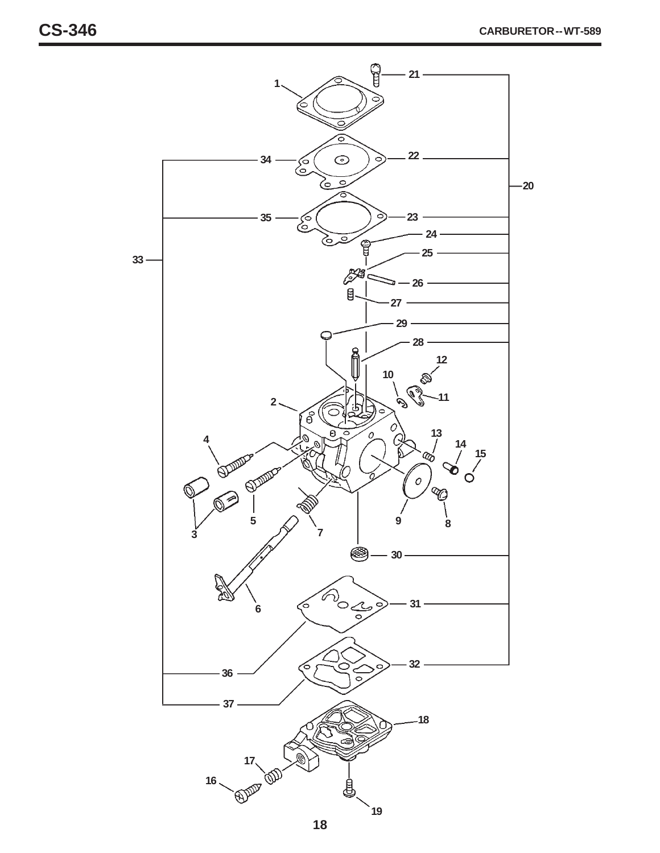